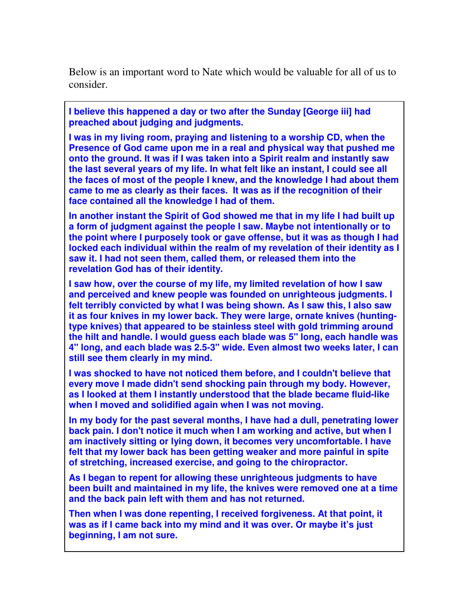Below is an important word to Nate which would be valuable for all of us to consider.

**I believe this happened a day or two after the Sunday [George iii] had preached about judging and judgments.** 

**I was in my living room, praying and listening to a worship CD, when the Presence of God came upon me in a real and physical way that pushed me onto the ground. It was if I was taken into a Spirit realm and instantly saw the last several years of my life. In what felt like an instant, I could see all the faces of most of the people I knew, and the knowledge I had about them came to me as clearly as their faces. It was as if the recognition of their face contained all the knowledge I had of them.** 

**In another instant the Spirit of God showed me that in my life I had built up a form of judgment against the people I saw. Maybe not intentionally or to the point where I purposely took or gave offense, but it was as though I had locked each individual within the realm of my revelation of their identity as I saw it. I had not seen them, called them, or released them into the revelation God has of their identity.** 

**I saw how, over the course of my life, my limited revelation of how I saw and perceived and knew people was founded on unrighteous judgments. I felt terribly convicted by what I was being shown. As I saw this, I also saw it as four knives in my lower back. They were large, ornate knives (huntingtype knives) that appeared to be stainless steel with gold trimming around the hilt and handle. I would guess each blade was 5" long, each handle was 4" long, and each blade was 2.5-3" wide. Even almost two weeks later, I can still see them clearly in my mind.** 

**I was shocked to have not noticed them before, and I couldn't believe that every move I made didn't send shocking pain through my body. However, as I looked at them I instantly understood that the blade became fluid-like when I moved and solidified again when I was not moving.** 

**In my body for the past several months, I have had a dull, penetrating lower back pain. I don't notice it much when I am working and active, but when I am inactively sitting or lying down, it becomes very uncomfortable. I have felt that my lower back has been getting weaker and more painful in spite of stretching, increased exercise, and going to the chiropractor.** 

**As I began to repent for allowing these unrighteous judgments to have been built and maintained in my life, the knives were removed one at a time and the back pain left with them and has not returned.** 

**Then when I was done repenting, I received forgiveness. At that point, it was as if I came back into my mind and it was over. Or maybe it's just beginning, I am not sure.**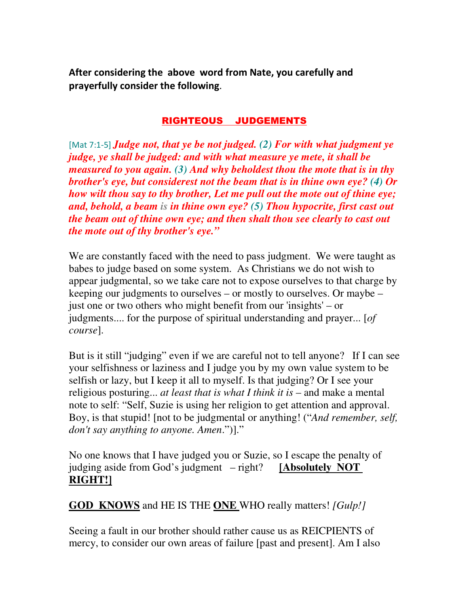After considering the above word from Nate, you carefully and prayerfully consider the following.

## RIGHTEOUS JUDGEMENTS

[Mat 7:1-5] *Judge not, that ye be not judged. (2) For with what judgment ye judge, ye shall be judged: and with what measure ye mete, it shall be measured to you again. (3) And why beholdest thou the mote that is in thy brother's eye, but considerest not the beam that is in thine own eye? (4) Or how wilt thou say to thy brother, Let me pull out the mote out of thine eye; and, behold, a beam is in thine own eye? (5) Thou hypocrite, first cast out the beam out of thine own eye; and then shalt thou see clearly to cast out the mote out of thy brother's eye."*

We are constantly faced with the need to pass judgment. We were taught as babes to judge based on some system. As Christians we do not wish to appear judgmental, so we take care not to expose ourselves to that charge by keeping our judgments to ourselves – or mostly to ourselves. Or maybe – just one or two others who might benefit from our 'insights' – or judgments.... for the purpose of spiritual understanding and prayer... [*of course*].

But is it still "judging" even if we are careful not to tell anyone? If I can see your selfishness or laziness and I judge you by my own value system to be selfish or lazy, but I keep it all to myself. Is that judging? Or I see your religious posturing... *at least that is what I think it is* – and make a mental note to self: "Self, Suzie is using her religion to get attention and approval. Boy, is that stupid! [not to be judgmental or anything! ("*And remember, self, don't say anything to anyone. Amen*.")]."

No one knows that I have judged you or Suzie, so I escape the penalty of judging aside from God's judgment – right? **[Absolutely NOT RIGHT!]**

## **GOD KNOWS** and HE IS THE **ONE** WHO really matters! *[Gulp!]*

Seeing a fault in our brother should rather cause us as REICPIENTS of mercy, to consider our own areas of failure [past and present]. Am I also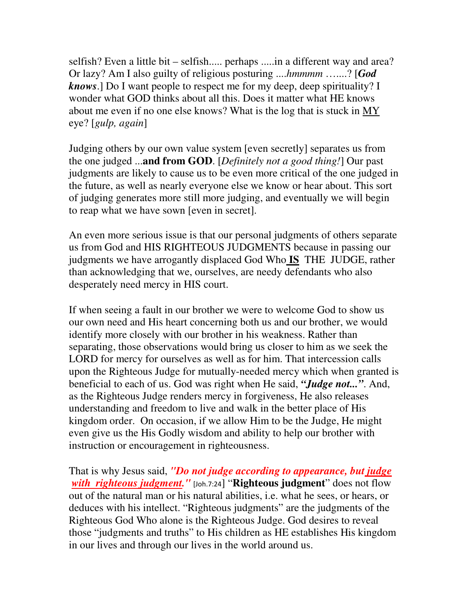selfish? Even a little bit – selfish..... perhaps .....in a different way and area? Or lazy? Am I also guilty of religious posturing ....*hmmmm* …....? [*God knows*.] Do I want people to respect me for my deep, deep spirituality? I wonder what GOD thinks about all this. Does it matter what HE knows about me even if no one else knows? What is the log that is stuck in MY eye? [*gulp, again*]

Judging others by our own value system [even secretly] separates us from the one judged ...**and from GOD**. [*Definitely not a good thing!*] Our past judgments are likely to cause us to be even more critical of the one judged in the future, as well as nearly everyone else we know or hear about. This sort of judging generates more still more judging, and eventually we will begin to reap what we have sown [even in secret].

An even more serious issue is that our personal judgments of others separate us from God and HIS RIGHTEOUS JUDGMENTS because in passing our judgments we have arrogantly displaced God Who **IS** THE JUDGE, rather than acknowledging that we, ourselves, are needy defendants who also desperately need mercy in HIS court.

If when seeing a fault in our brother we were to welcome God to show us our own need and His heart concerning both us and our brother, we would identify more closely with our brother in his weakness. Rather than separating, those observations would bring us closer to him as we seek the LORD for mercy for ourselves as well as for him. That intercession calls upon the Righteous Judge for mutually-needed mercy which when granted is beneficial to each of us. God was right when He said, *"Judge not..."*. And, as the Righteous Judge renders mercy in forgiveness, He also releases understanding and freedom to live and walk in the better place of His kingdom order. On occasion, if we allow Him to be the Judge, He might even give us the His Godly wisdom and ability to help our brother with instruction or encouragement in righteousness.

That is why Jesus said, *"Do not judge according to appearance, but judge with righteous judgment.*" [Joh.7:24] "Righteous judgment" does not flow out of the natural man or his natural abilities, i.e. what he sees, or hears, or deduces with his intellect. "Righteous judgments" are the judgments of the Righteous God Who alone is the Righteous Judge. God desires to reveal those "judgments and truths" to His children as HE establishes His kingdom in our lives and through our lives in the world around us.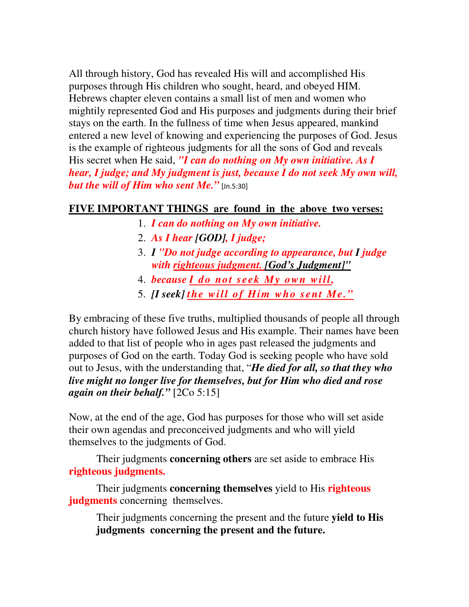All through history, God has revealed His will and accomplished His purposes through His children who sought, heard, and obeyed HIM. Hebrews chapter eleven contains a small list of men and women who mightily represented God and His purposes and judgments during their brief stays on the earth. In the fullness of time when Jesus appeared, mankind entered a new level of knowing and experiencing the purposes of God. Jesus is the example of righteous judgments for all the sons of God and reveals His secret when He said, *"I can do nothing on My own initiative. As I hear, I judge; and My judgment is just, because I do not seek My own will, but the will of Him who sent Me.* [Jn.5:30]

## **FIVE IMPORTANT THINGS are found in the above two verses:**

- 1. *I can do nothing on My own initiative.*
- 2. *As I hear [GOD], I judge;*
- 3. *I "Do not judge according to appearance, but I judge with righteous judgment. [God's Judgment]"*
- 4. *because I do not seek My own will,*
- 5. *[I seek] the will of Him who sent Me."*

By embracing of these five truths, multiplied thousands of people all through church history have followed Jesus and His example. Their names have been added to that list of people who in ages past released the judgments and purposes of God on the earth. Today God is seeking people who have sold out to Jesus, with the understanding that, "*He died for all, so that they who live might no longer live for themselves, but for Him who died and rose again on their behalf."* [2Co 5:15]

Now, at the end of the age, God has purposes for those who will set aside their own agendas and preconceived judgments and who will yield themselves to the judgments of God.

Their judgments **concerning others** are set aside to embrace His **righteous judgments.**

Their judgments **concerning themselves** yield to His **righteous judgments** concerning themselves.

Their judgments concerning the present and the future **yield to His judgments concerning the present and the future.**